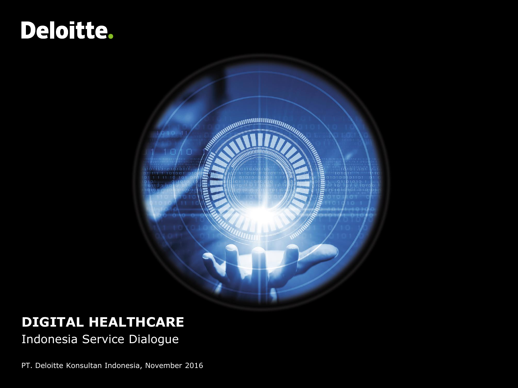# Deloitte.



### **DIGITAL HEALTHCARE**

Indonesia Service Dialogue

PT. Deloitte Konsultan Indonesia, November 2016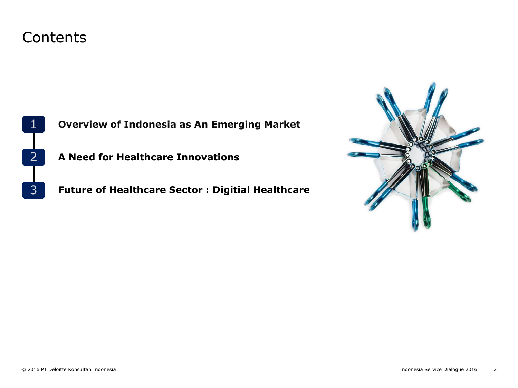### Contents



**Overview of Indonesia as An Emerging Market**

2 **A Need for Healthcare Innovations**

**Future of Healthcare Sector : Digitial Healthcare**

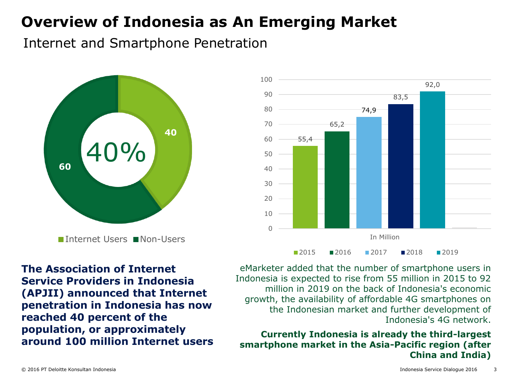### Internet and Smartphone Penetration



■Internet Users ■Non-Users

55,4 65,2 74,9 83,5 92,0  $\Omega$ 10 20 30 40 50 60 70 80 90 100 In Million ■2015 ■2016 ■2017 ■2018 ■2019

**The Association of Internet Service Providers in Indonesia (APJII) announced that Internet penetration in Indonesia has now reached 40 percent of the population, or approximately around 100 million Internet users**

eMarketer added that the number of smartphone users in Indonesia is expected to rise from 55 million in 2015 to 92 million in 2019 on the back of Indonesia's economic growth, the availability of affordable 4G smartphones on the Indonesian market and further development of Indonesia's 4G network.

#### **Currently Indonesia is already the third-largest smartphone market in the Asia-Pacific region (after China and India)**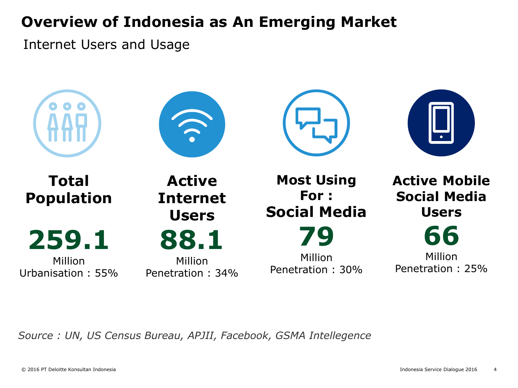Internet Users and Usage



*Source : UN, US Census Bureau, APJII, Facebook, GSMA Intellegence*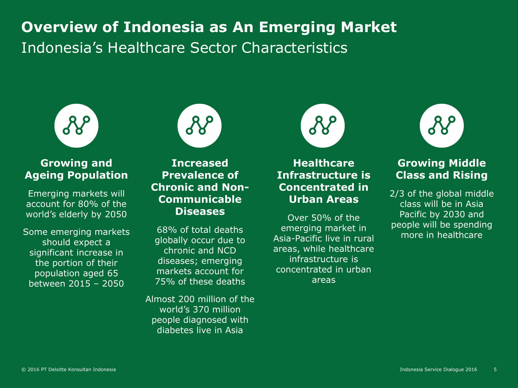# **Overview of Indonesia as An Emerging Market** Indonesia's Healthcare Sector Characteristics



#### **Growing and Ageing Population**

Emerging markets will account for 80% of the world's elderly by 2050

Some emerging markets should expect a significant increase in the portion of their population aged 65 between 2015 – 2050



#### **Increased Prevalence of Chronic and Non-Communicable Diseases**

68% of total deaths globally occur due to chronic and NCD diseases; emerging markets account for 75% of these deaths

Almost 200 million of the world's 370 million people diagnosed with diabetes live in Asia



**Healthcare Infrastructure is Concentrated in Urban Areas**

Over 50% of the emerging market in Asia-Pacific live in rural areas, while healthcare infrastructure is concentrated in urban areas



#### **Growing Middle Class and Rising**

2/3 of the global middle class will be in Asia Pacific by 2030 and people will be spending more in healthcare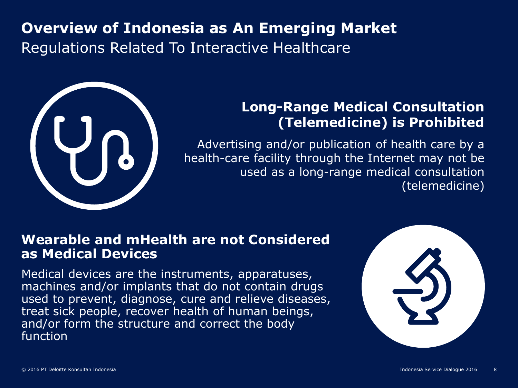# **Overview of Indonesia as An Emerging Market** Regulations Related To Interactive Healthcare



### **Long-Range Medical Consultation (Telemedicine) is Prohibited**

Advertising and/or publication of health care by a health-care facility through the Internet may not be used as a long-range medical consultation (telemedicine)

### **Wearable and mHealth are not Considered as Medical Devices**

Medical devices are the instruments, apparatuses, machines and/or implants that do not contain drugs used to prevent, diagnose, cure and relieve diseases, treat sick people, recover health of human beings, and/or form the structure and correct the body function

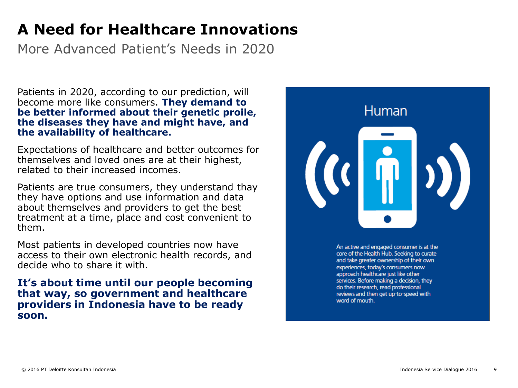### **A Need for Healthcare Innovations**

More Advanced Patient's Needs in 2020

Patients in 2020, according to our prediction, will become more like consumers. **They demand to be better informed about their genetic proile, the diseases they have and might have, and the availability of healthcare.**

Expectations of healthcare and better outcomes for themselves and loved ones are at their highest, related to their increased incomes.

Patients are true consumers, they understand thay they have options and use information and data about themselves and providers to get the best treatment at a time, place and cost convenient to them.

Most patients in developed countries now have access to their own electronic health records, and decide who to share it with.

**It's about time until our people becoming that way, so government and healthcare providers in Indonesia have to be ready soon.**



An active and engaged consumer is at the core of the Health Hub. Seeking to curate and take greater ownership of their own experiences, today's consumers now approach healthcare just like other services. Before making a decision, they do their research, read professional reviews and then get up-to-speed with word of mouth.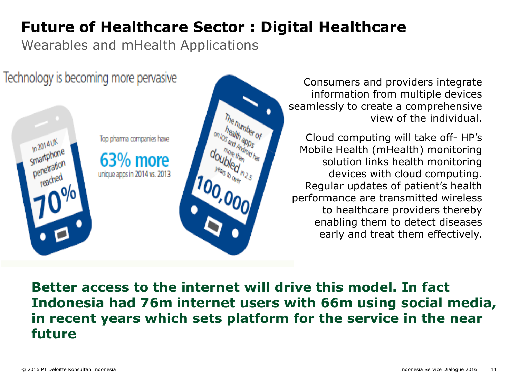### **Future of Healthcare Sector : Digital Healthcare**

Wearables and mHealth Applications

Technology is becoming more pervasive Top pharma companies have **In 2014UK** smartphone 63% more penetration unique apps in 2014 vs. 2013

Consumers and providers integrate information from multiple devices seamlessly to create a comprehensive view of the individual.

Cloud computing will take off- HP's Mobile Health (mHealth) monitoring solution links health monitoring devices with cloud computing. Regular updates of patient's health performance are transmitted wireless to healthcare providers thereby enabling them to detect diseases early and treat them effectively.

**Better access to the internet will drive this model. In fact Indonesia had 76m internet users with 66m using social media, in recent years which sets platform for the service in the near future**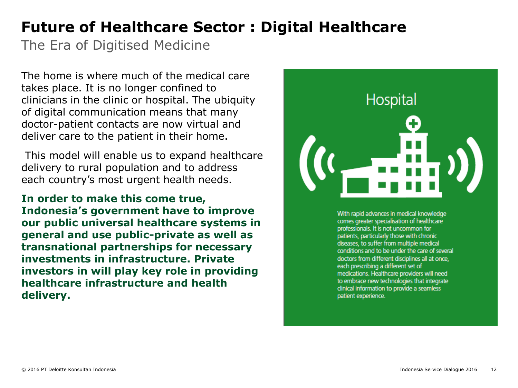### **Future of Healthcare Sector : Digital Healthcare**

The Era of Digitised Medicine

The home is where much of the medical care takes place. It is no longer confined to clinicians in the clinic or hospital. The ubiquity of digital communication means that many doctor-patient contacts are now virtual and deliver care to the patient in their home.

This model will enable us to expand healthcare delivery to rural population and to address each country's most urgent health needs.

**In order to make this come true, Indonesia's government have to improve our public universal healthcare systems in general and use public-private as well as transnational partnerships for necessary investments in infrastructure. Private investors in will play key role in providing healthcare infrastructure and health delivery.**



With rapid advances in medical knowledge comes greater specialisation of healthcare professionals. It is not uncommon for patients, particularly those with chronic diseases, to suffer from multiple medical conditions and to be under the care of several doctors from different disciplines all at once. each prescribing a different set of medications. Healthcare providers will need to embrace new technologies that integrate clinical information to provide a seamless patient experience.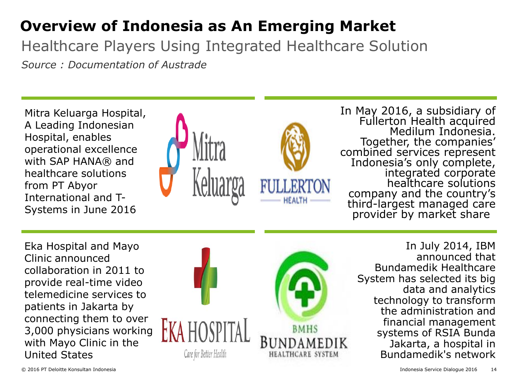Healthcare Players Using Integrated Healthcare Solution

*Source : Documentation of Austrade*

Mitra Keluarga Hospital, A Leading Indonesian Hospital, enables operational excellence with SAP HANA® and healthcare solutions from PT Abyor International and T-Systems in June 2016





In May 2016, a subsidiary of Fullerton Health acquired Medilum Indonesia. Together, the companies' combined services represent Indonesia's only complete, integrated corporate healthcare solutions company and the country's third-largest managed care provider by market share

Eka Hospital and Mayo Clinic announced collaboration in 2011 to provide real-time video telemedicine services to patients in Jakarta by connecting them to over 3,000 physicians working with Mayo Clinic in the United States



In July 2014, IBM announced that Bundamedik Healthcare System has selected its big data and analytics technology to transform the administration and financial management systems of RSIA Bunda Jakarta, a hospital in Bundamedik's network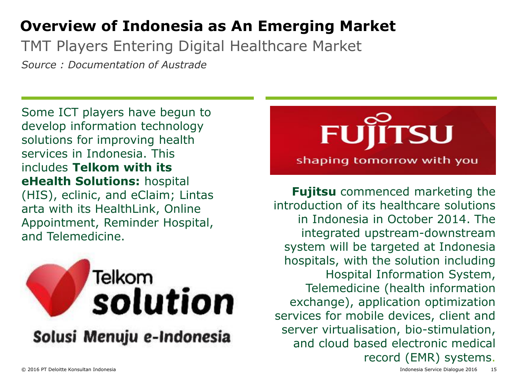TMT Players Entering Digital Healthcare Market

*Source : Documentation of Austrade*

Some ICT players have begun to develop information technology solutions for improving health services in Indonesia. This includes **Telkom with its eHealth Solutions:** hospital (HIS), eclinic, and eClaim; Lintas arta with its HealthLink, Online Appointment, Reminder Hospital, and Telemedicine.





**Fujitsu** commenced marketing the introduction of its healthcare solutions in Indonesia in October 2014. The integrated upstream-downstream system will be targeted at Indonesia hospitals, with the solution including Hospital Information System, Telemedicine (health information exchange), application optimization services for mobile devices, client and server virtualisation, bio-stimulation, and cloud based electronic medical record (EMR) systems.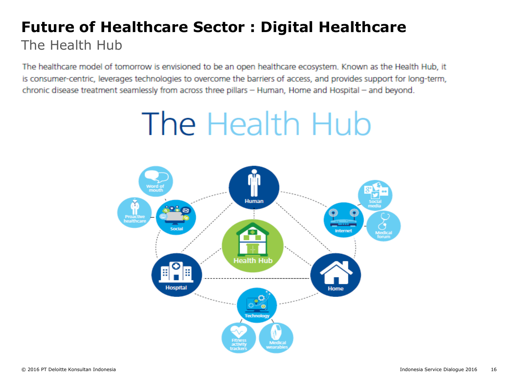### **Future of Healthcare Sector : Digital Healthcare** The Health Hub

The healthcare model of tomorrow is envisioned to be an open healthcare ecosystem. Known as the Health Hub, it is consumer-centric, leverages technologies to overcome the barriers of access, and provides support for long-term, chronic disease treatment seamlessly from across three pillars - Human, Home and Hospital - and beyond.